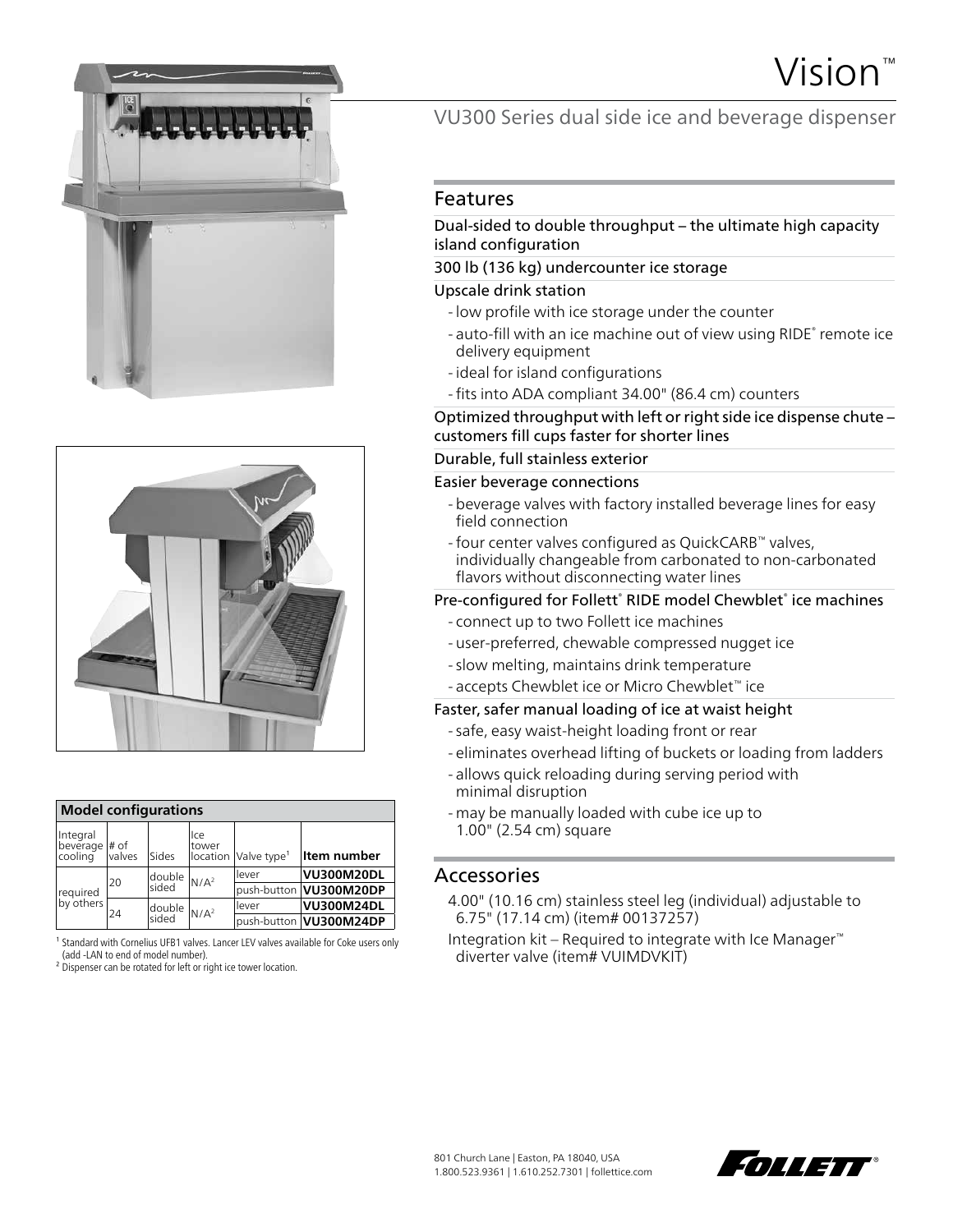





| <b>Model configurations</b>          |        |                                                             |              |                                  |                        |  |
|--------------------------------------|--------|-------------------------------------------------------------|--------------|----------------------------------|------------------------|--|
| Integral<br>beverage # of<br>cooling | valves | Sides                                                       | lce<br>tower | location Valve type <sup>1</sup> | Item number            |  |
| required<br>by others                | 20     | $\mathsf{Idouble} \left  \mathsf{N/A}^2 \right $<br>sided   |              | lever                            | <b>VU300M20DL</b>      |  |
|                                      |        |                                                             |              |                                  | push-button VU300M20DP |  |
|                                      | 24     | $\mathsf{Idouble} \big _{\mathsf{N}/\mathsf{A}^2}$<br>sided |              | lever                            | <b>VU300M24DL</b>      |  |
|                                      |        |                                                             |              |                                  | push-button VU300M24DP |  |

<sup>1</sup> Standard with Cornelius UFB1 valves. Lancer LEV valves available for Coke users only (add -LAN to end of model number).

<sup>2</sup> Dispenser can be rotated for left or right ice tower location.

VU300 Series dual side ice and beverage dispenser

### Features

#### Dual-sided to double throughput – the ultimate high capacity island configuration

#### 300 lb (136 kg) undercounter ice storage

#### Upscale drink station

- low profile with ice storage under the counter
- auto-fill with an ice machine out of view using RIDE<sup>®</sup> remote ice delivery equipment
- ideal for island configurations
- fits into ADA compliant 34.00" (86.4 cm) counters

Optimized throughput with left or right side ice dispense chute – customers fill cups faster for shorter lines

## Durable, full stainless exterior

#### Easier beverage connections

- beverage valves with factory installed beverage lines for easy field connection
- -four center valves configured as QuickCARB™ valves, individually changeable from carbonated to non-carbonated flavors without disconnecting water lines

#### Pre-configured for Follett<sup>®</sup> RIDE model Chewblet<sup>®</sup> ice machines

- connect up to two Follett ice machines
- user-preferred, chewable compressed nugget ice
- slow melting, maintains drink temperature
- accepts Chewblet ice or Micro Chewblet™ ice

#### Faster, safer manual loading of ice at waist height

- safe, easy waist-height loading front or rear
- eliminates overhead lifting of buckets or loading from ladders
- allows quick reloading during serving period with minimal disruption
- may be manually loaded with cube ice up to 1.00" (2.54 cm) square

### Accessories

- 4.00" (10.16 cm) stainless steel leg (individual) adjustable to 6.75" (17.14 cm) (item# 00137257)
- Integration kit Required to integrate with Ice Manager™ diverter valve (item# VUIMDVKIT)